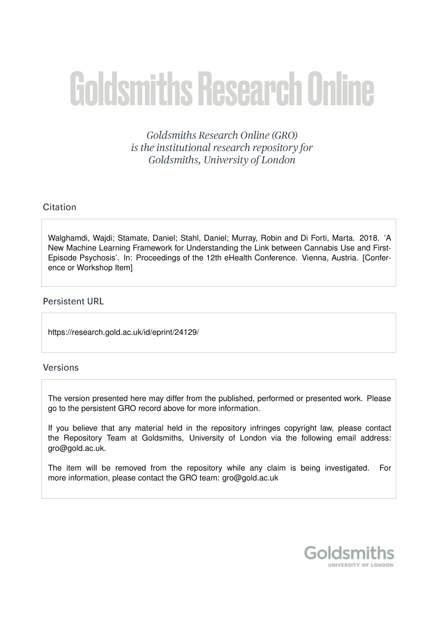# **Goldsmiths Research Online**

Goldsmiths Research Online (GRO) is the institutional research repository for Goldsmiths, University of London

# Citation

Walghamdi, Wajdi; Stamate, Daniel; Stahl, Daniel; Murray, Robin and Di Forti, Marta. 2018. 'A New Machine Learning Framework for Understanding the Link between Cannabis Use and First-Episode Psychosis'. In: Proceedings of the 12th eHealth Conference. Vienna, Austria. [Conference or Workshop Item]

## **Persistent URL**

https://research.gold.ac.uk/id/eprint/24129/

## Versions

The version presented here may differ from the published, performed or presented work. Please go to the persistent GRO record above for more information.

If you believe that any material held in the repository infringes copyright law, please contact the Repository Team at Goldsmiths, University of London via the following email address: gro@gold.ac.uk.

The item will be removed from the repository while any claim is being investigated. For more information, please contact the GRO team: gro@gold.ac.uk

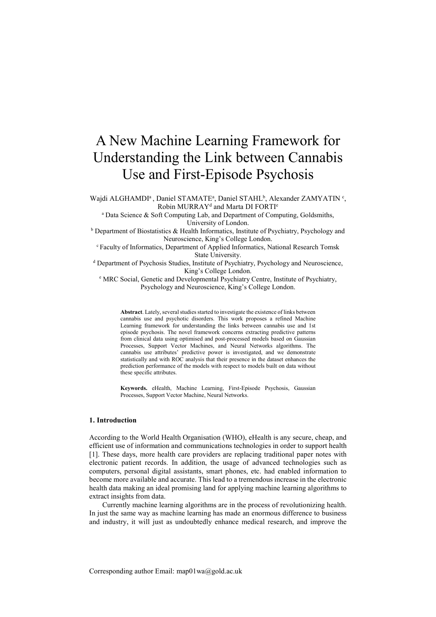# A New Machine Learning Framework for Understanding the Link between Cannabis Use and First-Episode Psychosis

Wajdi ALGHAMDI<sup>a</sup>, Daniel STAMATE<sup>a</sup>, Daniel STAHL<sup>b</sup>, Alexander ZAMYATIN<sup>c</sup>, Robin MURRAY<sup>d</sup> and Marta DI FORTI<sup>e</sup>

<sup>a</sup> Data Science & Soft Computing Lab, and Department of Computing, Goldsmiths, University of London.

 $b$  Department of Biostatistics & Health Informatics, Institute of Psychiatry, Psychology and Neuroscience, King's College London.

<sup>c</sup> Faculty of Informatics, Department of Applied Informatics, National Research Tomsk State University.

<sup>d</sup> Department of Psychosis Studies, Institute of Psychiatry, Psychology and Neuroscience, King's College London.

e MRC Social, Genetic and Developmental Psychiatry Centre, Institute of Psychiatry, Psychology and Neuroscience, King's College London.

Abstract. Lately, several studies started to investigate the existence of links between cannabis use and psychotic disorders. This work proposes a refined Machine Learning framework for understanding the links between cannabis use and 1st episode psychosis. The novel framework concerns extracting predictive patterns from clinical data using optimised and post-processed models based on Gaussian Processes, Support Vector Machines, and Neural Networks algorithms. The cannabis use attributes' predictive power is investigated, and we demonstrate statistically and with ROC analysis that their presence in the dataset enhances the prediction performance of the models with respect to models built on data without these specific attributes.

Keywords. eHealth, Machine Learning, First-Episode Psychosis, Gaussian Processes, Support Vector Machine, Neural Networks.

#### 1. Introduction

According to the World Health Organisation (WHO), eHealth is any secure, cheap, and efficient use of information and communications technologies in order to support health [1]. These days, more health care providers are replacing traditional paper notes with electronic patient records. In addition, the usage of advanced technologies such as computers, personal digital assistants, smart phones, etc. had enabled information to become more available and accurate. This lead to a tremendous increase in the electronic health data making an ideal promising land for applying machine learning algorithms to extract insights from data.

Currently machine learning algorithms are in the process of revolutionizing health. In just the same way as machine learning has made an enormous difference to business and industry, it will just as undoubtedly enhance medical research, and improve the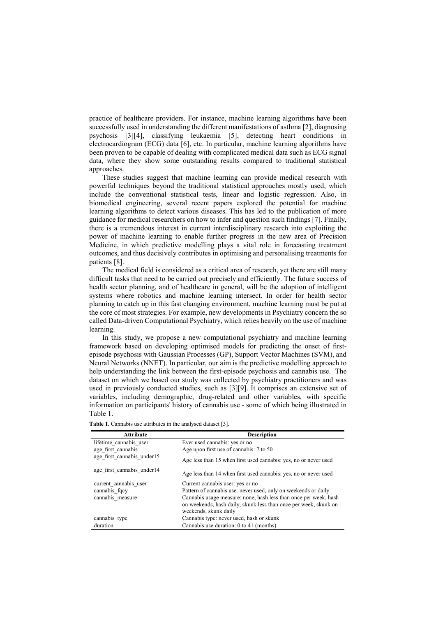practice of healthcare providers. For instance, machine learning algorithms have been successfully used in understanding the different manifestations of asthma [2], diagnosing psychosis [3][4], classifying leukaemia [5], detecting heart conditions in electrocardiogram (ECG) data [6], etc. In particular, machine learning algorithms have been proven to be capable of dealing with complicated medical data such as ECG signal data, where they show some outstanding results compared to traditional statistical approaches.

These studies suggest that machine learning can provide medical research with powerful techniques beyond the traditional statistical approaches mostly used, which include the conventional statistical tests, linear and logistic regression. Also, in biomedical engineering, several recent papers explored the potential for machine learning algorithms to detect various diseases. This has led to the publication of more guidance for medical researchers on how to infer and question such findings [7]. Finally, there is a tremendous interest in current interdisciplinary research into exploiting the power of machine learning to enable further progress in the new area of Precision Medicine, in which predictive modelling plays a vital role in forecasting treatment outcomes, and thus decisively contributes in optimising and personalising treatments for patients [8].

The medical field is considered as a critical area of research, yet there are still many difficult tasks that need to be carried out precisely and efficiently. The future success of health sector planning, and of healthcare in general, will be the adoption of intelligent systems where robotics and machine learning intersect. In order for health sector planning to catch up in this fast changing environment, machine learning must be put at the core of most strategies. For example, new developments in Psychiatry concern the so called Data-driven Computational Psychiatry, which relies heavily on the use of machine learning.

In this study, we propose a new computational psychiatry and machine learning framework based on developing optimised models for predicting the onset of firstepisode psychosis with Gaussian Processes (GP), Support Vector Machines (SVM), and Neural Networks (NNET). In particular, our aim is the predictive modelling approach to help understanding the link between the first-episode psychosis and cannabis use. The dataset on which we based our study was collected by psychiatry practitioners and was used in previously conducted studies, such as [3][9]. It comprises an extensive set of variables, including demographic, drug-related and other variables, with specific information on participants' history of cannabis use - some of which being illustrated in Table 1.

| <b>Attribute</b>           | <b>Description</b>                                                                                                                                            |  |  |  |
|----------------------------|---------------------------------------------------------------------------------------------------------------------------------------------------------------|--|--|--|
| lifetime cannabis user     | Ever used cannabis: yes or no                                                                                                                                 |  |  |  |
| age first cannabis         | Age upon first use of cannabis: 7 to 50                                                                                                                       |  |  |  |
| age first cannabis under15 | Age less than 15 when first used cannabis: yes, no or never used                                                                                              |  |  |  |
| age first cannabis under14 | Age less than 14 when first used cannabis: yes, no or never used                                                                                              |  |  |  |
| current cannabis user      | Current cannabis user: yes or no                                                                                                                              |  |  |  |
| cannabis fqcy              | Pattern of cannabis use: never used, only on weekends or daily                                                                                                |  |  |  |
| cannabis measure           | Cannabis usage measure: none, hash less than once per week, hash<br>on weekends, hash daily, skunk less than once per week, skunk on<br>weekends, skunk daily |  |  |  |
| cannabis type              | Cannabis type: never used, hash or skunk                                                                                                                      |  |  |  |
| duration                   | Cannabis use duration: 0 to 41 (months)                                                                                                                       |  |  |  |

Table 1. Cannabis use attributes in the analysed dataset [3].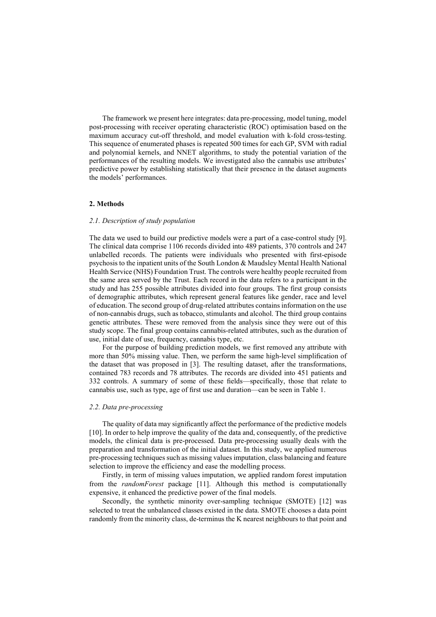The framework we present here integrates: data pre-processing, model tuning, model post-processing with receiver operating characteristic (ROC) optimisation based on the maximum accuracy cut-off threshold, and model evaluation with k-fold cross-testing. This sequence of enumerated phases is repeated 500 times for each GP, SVM with radial and polynomial kernels, and NNET algorithms, to study the potential variation of the performances of the resulting models. We investigated also the cannabis use attributes' predictive power by establishing statistically that their presence in the dataset augments the models' performances.

#### 2. Methods

#### 2.1. Description of study population

The data we used to build our predictive models were a part of a case-control study [9]. The clinical data comprise 1106 records divided into 489 patients, 370 controls and 247 unlabelled records. The patients were individuals who presented with first-episode psychosis to the inpatient units of the South London & Maudsley Mental Health National Health Service (NHS) Foundation Trust. The controls were healthy people recruited from the same area served by the Trust. Each record in the data refers to a participant in the study and has 255 possible attributes divided into four groups. The first group consists of demographic attributes, which represent general features like gender, race and level of education. The second group of drug-related attributes contains information on the use of non-cannabis drugs, such as tobacco, stimulants and alcohol. The third group contains genetic attributes. These were removed from the analysis since they were out of this study scope. The final group contains cannabis-related attributes, such as the duration of use, initial date of use, frequency, cannabis type, etc.

For the purpose of building prediction models, we first removed any attribute with more than 50% missing value. Then, we perform the same high-level simplification of the dataset that was proposed in [3]. The resulting dataset, after the transformations, contained 783 records and 78 attributes. The records are divided into 451 patients and 332 controls. A summary of some of these fields—specifically, those that relate to cannabis use, such as type, age of first use and duration—can be seen in Table 1.

#### 2.2. Data pre-processing

The quality of data may significantly affect the performance of the predictive models [10]. In order to help improve the quality of the data and, consequently, of the predictive models, the clinical data is pre-processed. Data pre-processing usually deals with the preparation and transformation of the initial dataset. In this study, we applied numerous pre-processing techniques such as missing values imputation, class balancing and feature selection to improve the efficiency and ease the modelling process.

Firstly, in term of missing values imputation, we applied random forest imputation from the randomForest package [11]. Although this method is computationally expensive, it enhanced the predictive power of the final models.

Secondly, the synthetic minority over-sampling technique (SMOTE) [12] was selected to treat the unbalanced classes existed in the data. SMOTE chooses a data point randomly from the minority class, de-terminus the K nearest neighbours to that point and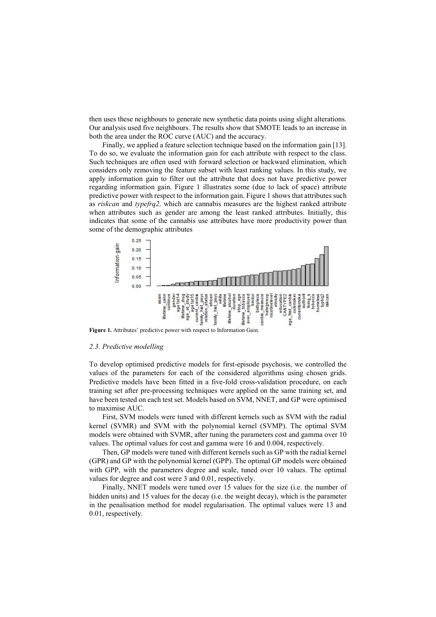then uses these neighbours to generate new synthetic data points using slight alterations. Our analysis used five neighbours. The results show that SMOTE leads to an increase in both the area under the ROC curve (AUC) and the accuracy.

Finally, we applied a feature selection technique based on the information gain [13]. To do so, we evaluate the information gain for each attribute with respect to the class. Such techniques are often used with forward selection or backward elimination, which considers only removing the feature subset with least ranking values. In this study, we apply information gain to filter out the attribute that does not have predictive power regarding information gain. Figure 1 illustrates some (due to lack of space) attribute predictive power with respect to the information gain. Figure 1 shows that attributes such as riskcan and typefrq2, which are cannabis measures are the highest ranked attribute when attributes such as gender are among the least ranked attributes. Initially, this indicates that some of the cannabis use attributes have more productivity power than some of the demographic attributes



Figure 1. Attributes' predictive power with respect to Information Gain.

#### 2.3. Predictive modelling

To develop optimised predictive models for first-episode psychosis, we controlled the values of the parameters for each of the considered algorithms using chosen grids. Predictive models have been fitted in a five-fold cross-validation procedure, on each training set after pre-processing techniques were applied on the same training set, and have been tested on each test set. Models based on SVM, NNET, and GP were optimised to maximise AUC.

First, SVM models were tuned with different kernels such as SVM with the radial kernel (SVMR) and SVM with the polynomial kernel (SVMP). The optimal SVM models were obtained with SVMR, after tuning the parameters cost and gamma over 10 values. The optimal values for cost and gamma were 16 and 0.004, respectively.

Then, GP models were tuned with different kernels such as GP with the radial kernel (GPR) and GP with the polynomial kernel (GPP). The optimal GP models were obtained with GPP, with the parameters degree and scale, tuned over 10 values. The optimal values for degree and cost were 3 and 0.01, respectively.

Finally, NNET models were tuned over 15 values for the size (i.e. the number of hidden units) and 15 values for the decay (i.e. the weight decay), which is the parameter in the penalisation method for model regularisation. The optimal values were 13 and 0.01, respectively.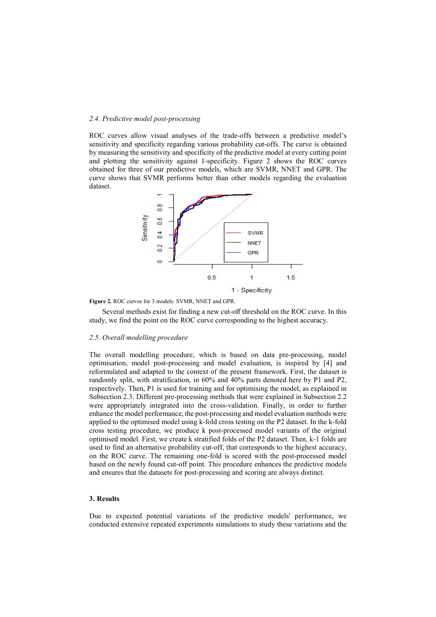#### 2.4. Predictive model post-processing

ROC curves allow visual analyses of the trade-offs between a predictive model's sensitivity and specificity regarding various probability cut-offs. The curve is obtained by measuring the sensitivity and specificity of the predictive model at every cutting point and plotting the sensitivity against 1-specificity. Figure 2 shows the ROC curves obtained for three of our predictive models, which are SVMR, NNET and GPR. The curve shows that SVMR performs better than other models regarding the evaluation dataset.



Figure 2. ROC curves for 3 models: SVMR, NNET and GPR.

Several methods exist for finding a new cut-off threshold on the ROC curve. In this study, we find the point on the ROC curve corresponding to the highest accuracy.

#### 2.5. Overall modelling procedure

The overall modelling procedure, which is based on data pre-processing, model optimisation, model post-processing and model evaluation, is inspired by [4] and reformulated and adapted to the context of the present framework. First, the dataset is randomly split, with stratification, in 60% and 40% parts denoted here by P1 and P2, respectively. Then, P1 is used for training and for optimising the model, as explained in Subsection 2.3. Different pre-processing methods that were explained in Subsection 2.2 were appropriately integrated into the cross-validation. Finally, in order to further enhance the model performance, the post-processing and model evaluation methods were applied to the optimised model using k-fold cross testing on the P2 dataset. In the k-fold cross testing procedure, we produce k post-processed model variants of the original optimised model. First, we create k stratified folds of the P2 dataset. Then, k-1 folds are used to find an alternative probability cut-off, that corresponds to the highest accuracy, on the ROC curve. The remaining one-fold is scored with the post-processed model based on the newly found cut-off point. This procedure enhances the predictive models and ensures that the datasets for post-processing and scoring are always distinct.

#### 3. Results

Due to expected potential variations of the predictive models' performance, we conducted extensive repeated experiments simulations to study these variations and the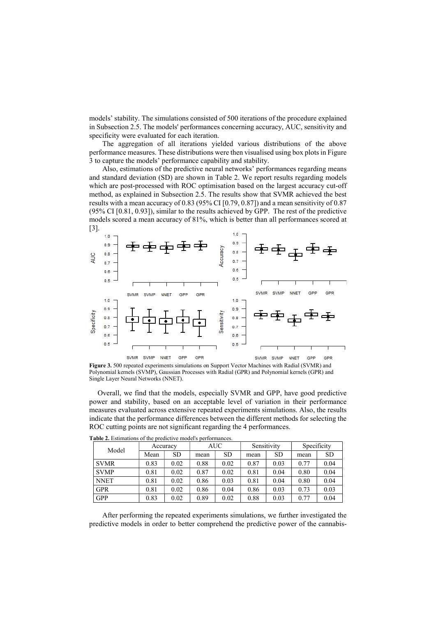models' stability. The simulations consisted of 500 iterations of the procedure explained in Subsection 2.5. The models' performances concerning accuracy, AUC, sensitivity and specificity were evaluated for each iteration.

The aggregation of all iterations yielded various distributions of the above performance measures. These distributions were then visualised using box plots in Figure 3 to capture the models' performance capability and stability.

Also, estimations of the predictive neural networks' performances regarding means and standard deviation (SD) are shown in Table 2. We report results regarding models which are post-processed with ROC optimisation based on the largest accuracy cut-off method, as explained in Subsection 2.5. The results show that SVMR achieved the best results with a mean accuracy of 0.83 (95% CI [0.79, 0.87]) and a mean sensitivity of 0.87 (95% CI [0.81, 0.93]), similar to the results achieved by GPP. The rest of the predictive models scored a mean accuracy of 81%, which is better than all performances scored at [3].



Figure 3. 500 repeated experiments simulations on Support Vector Machines with Radial (SVMR) and Polynomial kernels (SVMP), Gaussian Processes with Radial (GPR) and Polynomial kernels (GPR) and Single Layer Neural Networks (NNET).

Overall, we find that the models, especially SVMR and GPP, have good predictive power and stability, based on an acceptable level of variation in their performance measures evaluated across extensive repeated experiments simulations. Also, the results indicate that the performance differences between the different methods for selecting the ROC cutting points are not significant regarding the 4 performances.

| Model       | Accuracy |           | AUC- |           | Sensitivity |      | Specificity |           |
|-------------|----------|-----------|------|-----------|-------------|------|-------------|-----------|
|             | Mean     | <b>SD</b> | mean | <b>SD</b> | mean        | SD   | mean        | <b>SD</b> |
| <b>SVMR</b> | 0.83     | 0.02      | 0.88 | 0.02      | 0.87        | 0.03 | 0.77        | 0.04      |
| <b>SVMP</b> | 0.81     | 0.02      | 0.87 | 0.02      | 0.81        | 0.04 | 0.80        | 0.04      |
| <b>NNET</b> | 0.81     | 0.02      | 0.86 | 0.03      | 0.81        | 0.04 | 0.80        | 0.04      |
| <b>GPR</b>  | 0.81     | 0.02      | 0.86 | 0.04      | 0.86        | 0.03 | 0.73        | 0.03      |
| <b>GPP</b>  | 0.83     | 0.02      | 0.89 | 0.02      | 0.88        | 0.03 | 0.77        | 0.04      |

Table 2. Estimations of the predictive model's performances.

After performing the repeated experiments simulations, we further investigated the predictive models in order to better comprehend the predictive power of the cannabis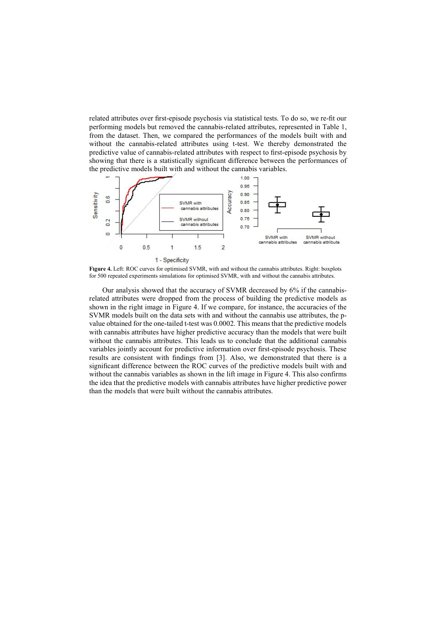related attributes over first-episode psychosis via statistical tests. To do so, we re-fit our performing models but removed the cannabis-related attributes, represented in Table 1, from the dataset. Then, we compared the performances of the models built with and without the cannabis-related attributes using t-test. We thereby demonstrated the predictive value of cannabis-related attributes with respect to first-episode psychosis by showing that there is a statistically significant difference between the performances of the predictive models built with and without the cannabis variables.



Figure 4. Left: ROC curves for optimised SVMR, with and without the cannabis attributes. Right: boxplots for 500 repeated experiments simulations for optimised SVMR, with and without the cannabis attributes.

Our analysis showed that the accuracy of SVMR decreased by 6% if the cannabisrelated attributes were dropped from the process of building the predictive models as shown in the right image in Figure 4. If we compare, for instance, the accuracies of the SVMR models built on the data sets with and without the cannabis use attributes, the pvalue obtained for the one-tailed t-test was 0.0002. This means that the predictive models with cannabis attributes have higher predictive accuracy than the models that were built without the cannabis attributes. This leads us to conclude that the additional cannabis variables jointly account for predictive information over first-episode psychosis. These results are consistent with findings from [3]. Also, we demonstrated that there is a significant difference between the ROC curves of the predictive models built with and without the cannabis variables as shown in the lift image in Figure 4. This also confirms the idea that the predictive models with cannabis attributes have higher predictive power than the models that were built without the cannabis attributes.